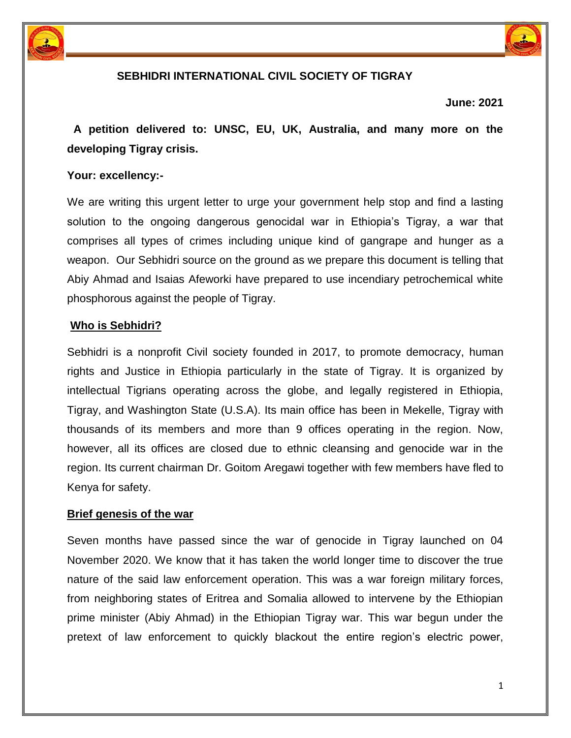



# **SEBHIDRI INTERNATIONAL CIVIL SOCIETY OF TIGRAY**

**June: 2021** 

 **A petition delivered to: UNSC, EU, UK, Australia, and many more on the developing Tigray crisis.** 

#### **Your: excellency:-**

We are writing this urgent letter to urge your government help stop and find a lasting solution to the ongoing dangerous genocidal war in Ethiopia's Tigray, a war that comprises all types of crimes including unique kind of gangrape and hunger as a weapon. Our Sebhidri source on the ground as we prepare this document is telling that Abiy Ahmad and Isaias Afeworki have prepared to use incendiary petrochemical white phosphorous against the people of Tigray.

#### **Who is Sebhidri?**

Sebhidri is a nonprofit Civil society founded in 2017, to promote democracy, human rights and Justice in Ethiopia particularly in the state of Tigray. It is organized by intellectual Tigrians operating across the globe, and legally registered in Ethiopia, Tigray, and Washington State (U.S.A). Its main office has been in Mekelle, Tigray with thousands of its members and more than 9 offices operating in the region. Now, however, all its offices are closed due to ethnic cleansing and genocide war in the region. Its current chairman Dr. Goitom Aregawi together with few members have fled to Kenya for safety.

#### **Brief genesis of the war**

Seven months have passed since the war of genocide in Tigray launched on 04 November 2020. We know that it has taken the world longer time to discover the true nature of the said law enforcement operation. This was a war foreign military forces, from neighboring states of Eritrea and Somalia allowed to intervene by the Ethiopian prime minister (Abiy Ahmad) in the Ethiopian Tigray war. This war begun under the pretext of law enforcement to quickly blackout the entire region's electric power,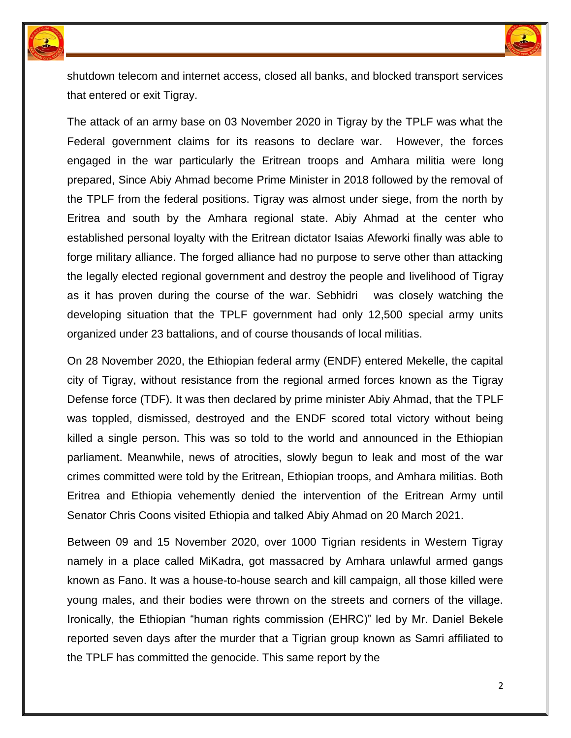



shutdown telecom and internet access, closed all banks, and blocked transport services that entered or exit Tigray.

The attack of an army base on 03 November 2020 in Tigray by the TPLF was what the Federal government claims for its reasons to declare war. However, the forces engaged in the war particularly the Eritrean troops and Amhara militia were long prepared, Since Abiy Ahmad become Prime Minister in 2018 followed by the removal of the TPLF from the federal positions. Tigray was almost under siege, from the north by Eritrea and south by the Amhara regional state. Abiy Ahmad at the center who established personal loyalty with the Eritrean dictator Isaias Afeworki finally was able to forge military alliance. The forged alliance had no purpose to serve other than attacking the legally elected regional government and destroy the people and livelihood of Tigray as it has proven during the course of the war. Sebhidri was closely watching the developing situation that the TPLF government had only 12,500 special army units organized under 23 battalions, and of course thousands of local militias.

On 28 November 2020, the Ethiopian federal army (ENDF) entered Mekelle, the capital city of Tigray, without resistance from the regional armed forces known as the Tigray Defense force (TDF). It was then declared by prime minister Abiy Ahmad, that the TPLF was toppled, dismissed, destroyed and the ENDF scored total victory without being killed a single person. This was so told to the world and announced in the Ethiopian parliament. Meanwhile, news of atrocities, slowly begun to leak and most of the war crimes committed were told by the Eritrean, Ethiopian troops, and Amhara militias. Both Eritrea and Ethiopia vehemently denied the intervention of the Eritrean Army until Senator Chris Coons visited Ethiopia and talked Abiy Ahmad on 20 March 2021.

Between 09 and 15 November 2020, over 1000 Tigrian residents in Western Tigray namely in a place called MiKadra, got massacred by Amhara unlawful armed gangs known as Fano. It was a house-to-house search and kill campaign, all those killed were young males, and their bodies were thrown on the streets and corners of the village. Ironically, the Ethiopian "human rights commission (EHRC)" led by Mr. Daniel Bekele reported seven days after the murder that a Tigrian group known as Samri affiliated to the TPLF has committed the genocide. This same report by the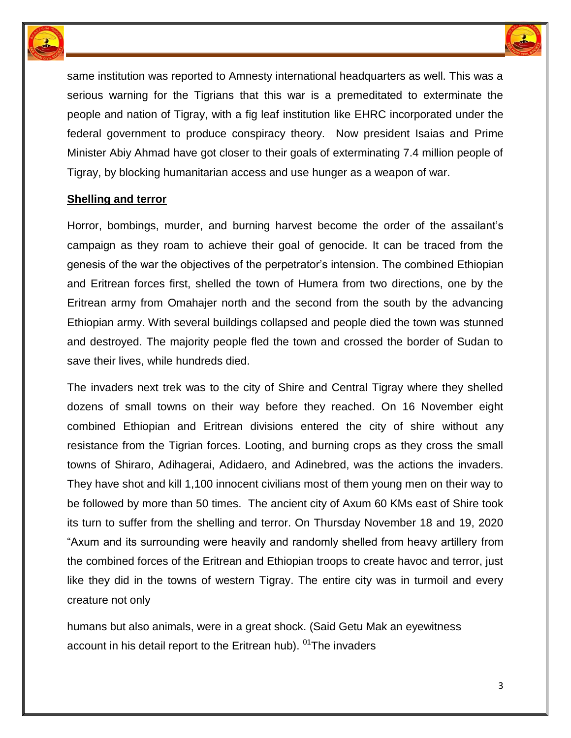



same institution was reported to Amnesty international headquarters as well. This was a serious warning for the Tigrians that this war is a premeditated to exterminate the people and nation of Tigray, with a fig leaf institution like EHRC incorporated under the federal government to produce conspiracy theory. Now president Isaias and Prime Minister Abiy Ahmad have got closer to their goals of exterminating 7.4 million people of Tigray, by blocking humanitarian access and use hunger as a weapon of war.

## **Shelling and terror**

Horror, bombings, murder, and burning harvest become the order of the assailant's campaign as they roam to achieve their goal of genocide. It can be traced from the genesis of the war the objectives of the perpetrator's intension. The combined Ethiopian and Eritrean forces first, shelled the town of Humera from two directions, one by the Eritrean army from Omahajer north and the second from the south by the advancing Ethiopian army. With several buildings collapsed and people died the town was stunned and destroyed. The majority people fled the town and crossed the border of Sudan to save their lives, while hundreds died.

The invaders next trek was to the city of Shire and Central Tigray where they shelled dozens of small towns on their way before they reached. On 16 November eight combined Ethiopian and Eritrean divisions entered the city of shire without any resistance from the Tigrian forces. Looting, and burning crops as they cross the small towns of Shiraro, Adihagerai, Adidaero, and Adinebred, was the actions the invaders. They have shot and kill 1,100 innocent civilians most of them young men on their way to be followed by more than 50 times. The ancient city of Axum 60 KMs east of Shire took its turn to suffer from the shelling and terror. On Thursday November 18 and 19, 2020 "Axum and its surrounding were heavily and randomly shelled from heavy artillery from the combined forces of the Eritrean and Ethiopian troops to create havoc and terror, just like they did in the towns of western Tigray. The entire city was in turmoil and every creature not only

humans but also animals, were in a great shock. (Said Getu Mak an eyewitness account in his detail report to the Eritrean hub). <sup>01</sup>The invaders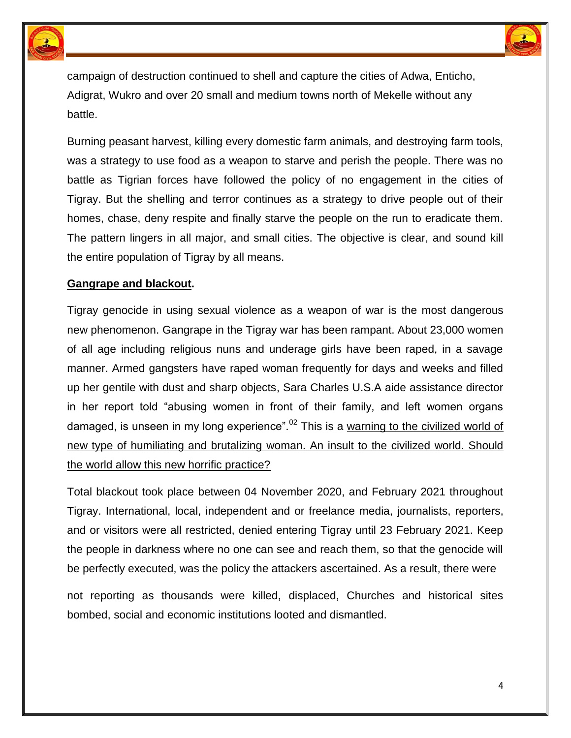



campaign of destruction continued to shell and capture the cities of Adwa, Enticho, Adigrat, Wukro and over 20 small and medium towns north of Mekelle without any battle.

Burning peasant harvest, killing every domestic farm animals, and destroying farm tools, was a strategy to use food as a weapon to starve and perish the people. There was no battle as Tigrian forces have followed the policy of no engagement in the cities of Tigray. But the shelling and terror continues as a strategy to drive people out of their homes, chase, deny respite and finally starve the people on the run to eradicate them. The pattern lingers in all major, and small cities. The objective is clear, and sound kill the entire population of Tigray by all means.

#### **Gangrape and blackout.**

Tigray genocide in using sexual violence as a weapon of war is the most dangerous new phenomenon. Gangrape in the Tigray war has been rampant. About 23,000 women of all age including religious nuns and underage girls have been raped, in a savage manner. Armed gangsters have raped woman frequently for days and weeks and filled up her gentile with dust and sharp objects, Sara Charles U.S.A aide assistance director in her report told "abusing women in front of their family, and left women organs damaged, is unseen in my long experience".<sup>02</sup> This is a warning to the civilized world of new type of humiliating and brutalizing woman. An insult to the civilized world. Should the world allow this new horrific practice?

Total blackout took place between 04 November 2020, and February 2021 throughout Tigray. International, local, independent and or freelance media, journalists, reporters, and or visitors were all restricted, denied entering Tigray until 23 February 2021. Keep the people in darkness where no one can see and reach them, so that the genocide will be perfectly executed, was the policy the attackers ascertained. As a result, there were

not reporting as thousands were killed, displaced, Churches and historical sites bombed, social and economic institutions looted and dismantled.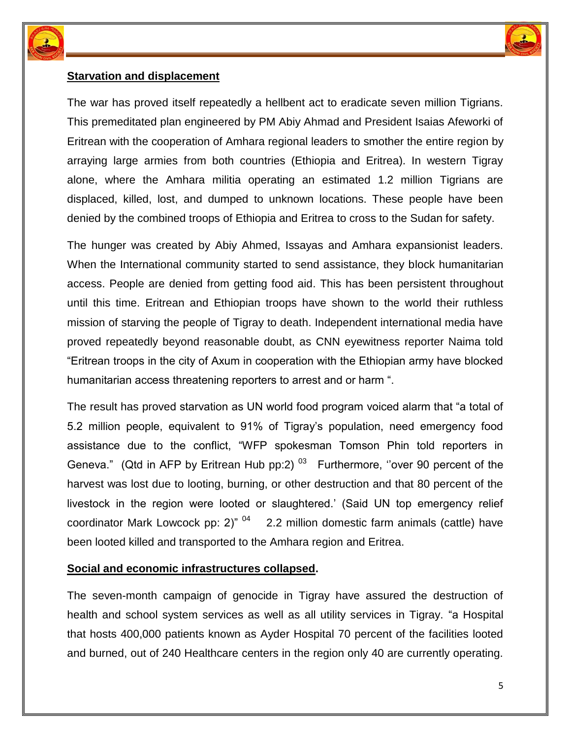



# **Starvation and displacement**

The war has proved itself repeatedly a hellbent act to eradicate seven million Tigrians. This premeditated plan engineered by PM Abiy Ahmad and President Isaias Afeworki of Eritrean with the cooperation of Amhara regional leaders to smother the entire region by arraying large armies from both countries (Ethiopia and Eritrea). In western Tigray alone, where the Amhara militia operating an estimated 1.2 million Tigrians are displaced, killed, lost, and dumped to unknown locations. These people have been denied by the combined troops of Ethiopia and Eritrea to cross to the Sudan for safety.

The hunger was created by Abiy Ahmed, Issayas and Amhara expansionist leaders. When the International community started to send assistance, they block humanitarian access. People are denied from getting food aid. This has been persistent throughout until this time. Eritrean and Ethiopian troops have shown to the world their ruthless mission of starving the people of Tigray to death. Independent international media have proved repeatedly beyond reasonable doubt, as CNN eyewitness reporter Naima told "Eritrean troops in the city of Axum in cooperation with the Ethiopian army have blocked humanitarian access threatening reporters to arrest and or harm ".

The result has proved starvation as UN world food program voiced alarm that "a total of 5.2 million people, equivalent to 91% of Tigray's population, need emergency food assistance due to the conflict, "WFP spokesman Tomson Phin told reporters in Geneva." (Qtd in AFP by Eritrean Hub pp:2)  $^{03}$  Furthermore, "over 90 percent of the harvest was lost due to looting, burning, or other destruction and that 80 percent of the livestock in the region were looted or slaughtered.' (Said UN top emergency relief coordinator Mark Lowcock pp: 2)"  $04$  2.2 million domestic farm animals (cattle) have been looted killed and transported to the Amhara region and Eritrea.

# **Social and economic infrastructures collapsed.**

The seven-month campaign of genocide in Tigray have assured the destruction of health and school system services as well as all utility services in Tigray. "a Hospital that hosts 400,000 patients known as Ayder Hospital 70 percent of the facilities looted and burned, out of 240 Healthcare centers in the region only 40 are currently operating.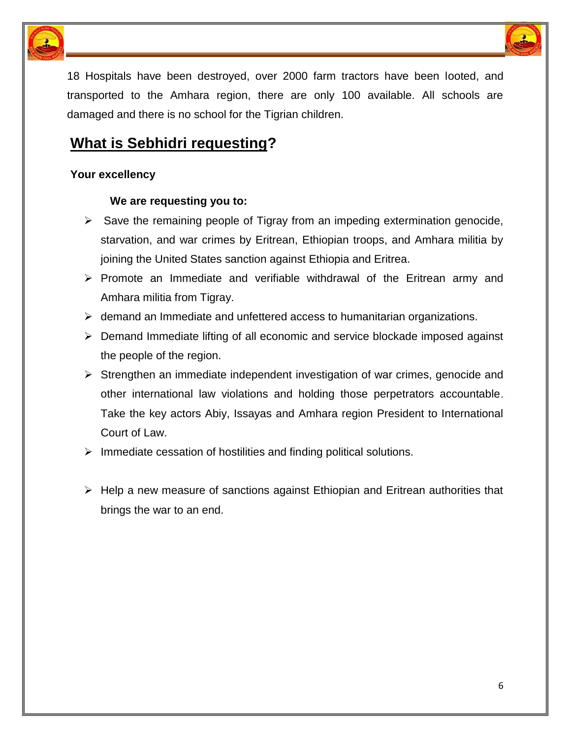



18 Hospitals have been destroyed, over 2000 farm tractors have been looted, and transported to the Amhara region, there are only 100 available. All schools are damaged and there is no school for the Tigrian children.

# **What is Sebhidri requesting?**

## **Your excellency**

#### **We are requesting you to:**

- $\triangleright$  Save the remaining people of Tigray from an impeding extermination genocide, starvation, and war crimes by Eritrean, Ethiopian troops, and Amhara militia by joining the United States sanction against Ethiopia and Eritrea.
- $\triangleright$  Promote an Immediate and verifiable withdrawal of the Eritrean army and Amhara militia from Tigray.
- $\triangleright$  demand an Immediate and unfettered access to humanitarian organizations.
- $\triangleright$  Demand Immediate lifting of all economic and service blockade imposed against the people of the region.
- $\triangleright$  Strengthen an immediate independent investigation of war crimes, genocide and other international law violations and holding those perpetrators accountable. Take the key actors Abiy, Issayas and Amhara region President to International Court of Law.
- $\triangleright$  Immediate cessation of hostilities and finding political solutions.
- $\triangleright$  Help a new measure of sanctions against Ethiopian and Eritrean authorities that brings the war to an end.